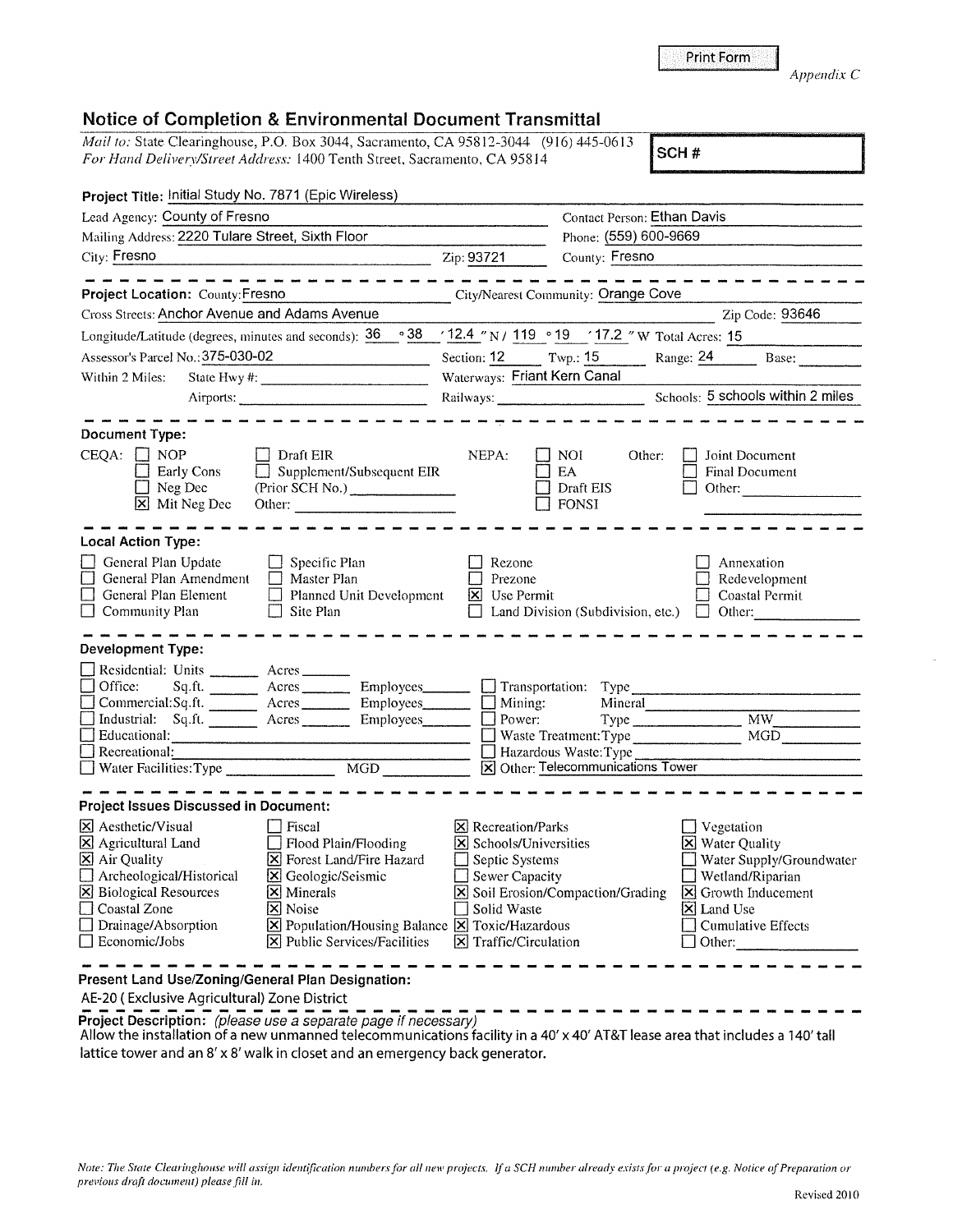## **Notice of Completion** & **Environmental Document Transmittal**

| Mail to: State Clearinghouse, P.O. Box 3044, Sacramento, CA 95812-3044 (916) 445-0613                                                                             |     |                              |                                                                                       |                                                                                                                                                                                                                                                                           |
|-------------------------------------------------------------------------------------------------------------------------------------------------------------------|-----|------------------------------|---------------------------------------------------------------------------------------|---------------------------------------------------------------------------------------------------------------------------------------------------------------------------------------------------------------------------------------------------------------------------|
| For Hand Delivery/Street Address: 1400 Tenth Street, Sacramento, CA 95814                                                                                         |     |                              |                                                                                       | SCH#                                                                                                                                                                                                                                                                      |
| Project Title: Initial Study No. 7871 (Epic Wireless)                                                                                                             |     |                              |                                                                                       |                                                                                                                                                                                                                                                                           |
|                                                                                                                                                                   |     |                              |                                                                                       |                                                                                                                                                                                                                                                                           |
| Lead Agency: County of Fresno                                                                                                                                     |     |                              | <b>Contact Person: Ethan Davis</b>                                                    |                                                                                                                                                                                                                                                                           |
| Mailing Address: 2220 Tulare Street, Sixth Floor                                                                                                                  |     |                              | Phone: (559) 600-9669                                                                 |                                                                                                                                                                                                                                                                           |
| City: Fresno<br>$\frac{1}{2}$ Zip: 93721                                                                                                                          |     |                              | County: Fresno                                                                        |                                                                                                                                                                                                                                                                           |
| and the most start and the most start and start and<br>Project Location: County: Fresno                                                                           |     |                              | City/Nearest Community: Orange Cove                                                   |                                                                                                                                                                                                                                                                           |
| Cross Streets: Anchor Avenue and Adams Avenue                                                                                                                     |     |                              |                                                                                       | Zip Code: 93646                                                                                                                                                                                                                                                           |
| Longitude/Latitude (degrees, minutes and seconds): 36                                                                                                             |     |                              | $\degree$ 38 / 12.4 $\degree$ N / 119 $\degree$ 19 / 17.2 $\degree$ W Total Acres: 15 |                                                                                                                                                                                                                                                                           |
| Assessor's Parcel No.: 375-030-02                                                                                                                                 |     |                              |                                                                                       | Section: 12 Twp.: 15 Range: 24 Base:                                                                                                                                                                                                                                      |
| Within 2 Miles:                                                                                                                                                   |     | Waterways: Friant Kern Canal |                                                                                       |                                                                                                                                                                                                                                                                           |
|                                                                                                                                                                   |     |                              |                                                                                       | Railways: Schools: 5 schools within 2 miles                                                                                                                                                                                                                               |
|                                                                                                                                                                   |     |                              |                                                                                       |                                                                                                                                                                                                                                                                           |
|                                                                                                                                                                   |     |                              |                                                                                       |                                                                                                                                                                                                                                                                           |
| <b>Document Type:</b><br>$CEQA: \Box NOP$<br>Draft EIR<br>$\Box$ Supplement/Subsequent EIR<br>Early Cons<br>Neg Dec<br>(Prior SCH No.)<br>X Mit Neg Dec<br>Other: |     | NEPA:                        | NOI.<br>Other:<br>EA<br>Draft EIS<br>FONSI                                            | Joint Document<br><b>Final Document</b><br>Other: and the contract of the contract of the contract of the contract of the contract of the contract of the contract of the contract of the contract of the contract of the contract of the contract of the contract of the |
| <b>Local Action Type:</b>                                                                                                                                         |     |                              |                                                                                       |                                                                                                                                                                                                                                                                           |
| General Plan Update<br>$\Box$ Specific Plan<br>General Plan Amendment<br>$\Box$ Master Plan                                                                       |     | Rezone<br>Prezone            |                                                                                       | Annexation<br>Redevelopment                                                                                                                                                                                                                                               |
| General Plan Element<br>$\Box$ Planned Unit Development                                                                                                           |     | <b>X</b> Use Permit          |                                                                                       | Coastal Permit                                                                                                                                                                                                                                                            |
| Community Plan<br>Site Plan<br>$\Box$                                                                                                                             |     |                              |                                                                                       | Land Division (Subdivision, etc.) $\Box$ Other:                                                                                                                                                                                                                           |
|                                                                                                                                                                   |     |                              |                                                                                       |                                                                                                                                                                                                                                                                           |
| Development Type:                                                                                                                                                 |     |                              |                                                                                       |                                                                                                                                                                                                                                                                           |
| Residential: Units _________ Acres _______                                                                                                                        |     |                              |                                                                                       |                                                                                                                                                                                                                                                                           |
| $\Box$ Office:<br>Sq.ft. __________ Acres __________ Employees________                                                                                            |     |                              | Transportation: Type                                                                  |                                                                                                                                                                                                                                                                           |
| Commercial:Sq.ft. ________ Acres _________ Employees_______                                                                                                       |     | $\Box$ Mining:               | Mineral                                                                               |                                                                                                                                                                                                                                                                           |
| Industrial: Sq.ft. Acres Employees                                                                                                                                |     | Power:                       |                                                                                       | M W                                                                                                                                                                                                                                                                       |
| $\Box$                                                                                                                                                            |     |                              | Waste Treatment: Type                                                                 | MGD                                                                                                                                                                                                                                                                       |
| $\Box$ Recreational:                                                                                                                                              |     |                              | Hazardous Waste: Type                                                                 |                                                                                                                                                                                                                                                                           |
|                                                                                                                                                                   |     |                              | X Other: Telecommunications Tower                                                     |                                                                                                                                                                                                                                                                           |
| <b>Project Issues Discussed in Document:</b>                                                                                                                      |     |                              |                                                                                       |                                                                                                                                                                                                                                                                           |
| ⊠ Aesthetic/Visual □ Fiscal                                                                                                                                       |     | <b>⊠</b> Recreation/Parks    |                                                                                       | $\Box$ Vegetation                                                                                                                                                                                                                                                         |
| $\boxtimes$ Agricultural Land<br>Flood Plain/Flooding                                                                                                             | IXI | Schools/Universities         |                                                                                       | X Water Quality                                                                                                                                                                                                                                                           |
| X Air Quality<br>X Forest Land/Fire Hazard                                                                                                                        |     | Septic Systems               |                                                                                       | Water Supply/Groundwater                                                                                                                                                                                                                                                  |
| Archeological/Historical<br>区<br>Geologic/Seismic                                                                                                                 |     | Sewer Capacity               |                                                                                       | Wetland/Riparian                                                                                                                                                                                                                                                          |
| <b>X</b> Biological Resources<br>Minerals<br>⊠                                                                                                                    |     |                              | $\Sigma$ Soil Erosion/Compaction/Grading                                              | Growth Inducement<br>$\mathbf{\mathbf{\underline{x}}}$                                                                                                                                                                                                                    |
| X Noise<br>$\Box$ Coastal Zone                                                                                                                                    |     | Solid Waste                  |                                                                                       | X Land Use                                                                                                                                                                                                                                                                |
| <b>X</b> Population/Housing Balance <b>X</b> Toxic/Hazardous<br>Drainage/Absorption                                                                               |     |                              |                                                                                       | <b>Cumulative Effects</b>                                                                                                                                                                                                                                                 |
| $\Box$ Economic/Jobs<br>X Public Services/Facilities                                                                                                              |     | X Traffic/Circulation        |                                                                                       | Other:                                                                                                                                                                                                                                                                    |
|                                                                                                                                                                   |     |                              |                                                                                       |                                                                                                                                                                                                                                                                           |

**Present Land Use/Zoning/General Plan Designation:** 

AE-20 ( Exclusive Agricultural) Zone District

AE-20 (Exclusive Agricultural) Zone District<br>Project Description: *(please use a separate page if necessary)*<br>Allow the installation of a new unmanned telecommunications facility in a 40' x 40' AT&T lease area that includ lattice tower and an 8' x 8' walk in closet and an emergency back generator.

Print Form

*Appendix* C